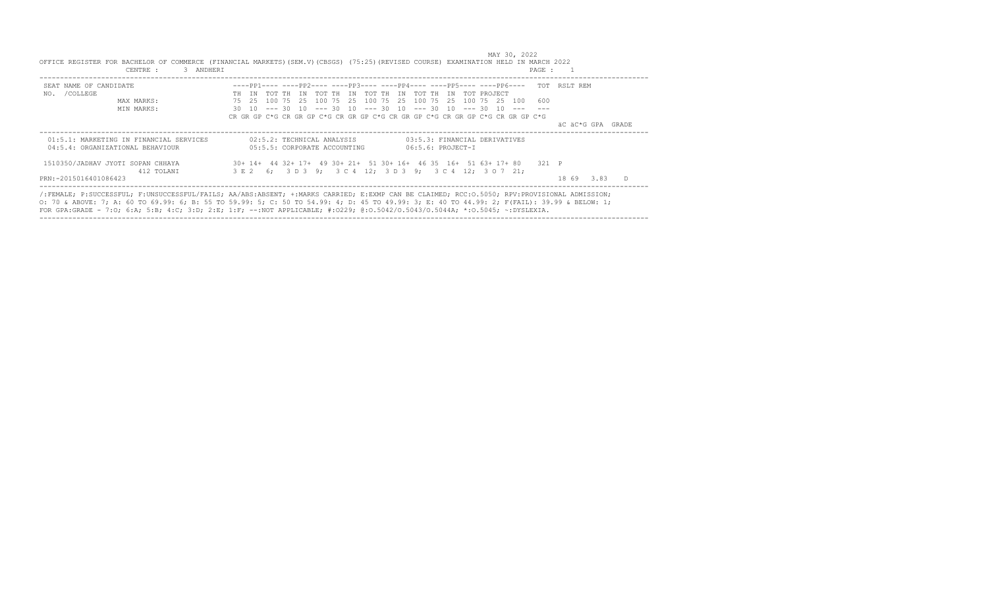| SEAT NAME OF CANDIDATE<br>/COLLEGE<br>NO. | ----pp1---- ----pp2---- ----pp3---- ----pp4---- ----pp5---- ----pp6---- TOT RSLT REM<br>IN TOT TH IN TOT TH<br>TN TOT TH<br>IN TOT THIN<br>TOT PROJECT<br>TH |                      |
|-------------------------------------------|--------------------------------------------------------------------------------------------------------------------------------------------------------------|----------------------|
| MAX MARKS:                                | 75    25    100    75    25    100    75    25    100    75    25    26<br>600<br>100 75 25<br>100                                                           |                      |
| MIN MARKS:                                | 30 10 --- 30 10 --- 30 10 --- 30 10 --- 30 10<br>$--- 30 10$                                                                                                 |                      |
|                                           | CR GR GP C*G CR GR GP C*G CR GR GP C*G CR GR GP C*G CR GR GP C*G CR GR GP C*G                                                                                |                      |
|                                           |                                                                                                                                                              | äC äC*G GPA<br>GRADE |
| 01:5.1: MARKETING IN FINANCIAL SERVICES   | 02:5.2: TECHNICAL ANALYSIS<br>03:5.3: FINANCIAL DERIVATIVES                                                                                                  |                      |
| 04:5.4: ORGANIZATIONAL BEHAVIOUR          | 05:5.5: CORPORATE ACCOUNTING<br>$06:5.6$ : PROJECT-I                                                                                                         |                      |
|                                           |                                                                                                                                                              |                      |
| 1510350/JADHAV JYOTI SOPAN CHHAYA         | 30+ 14+ 44 32+ 17+ 49 30+ 21+ 51 30+ 16+ 46 35 16+ 51 63+ 17+ 80<br>321 P                                                                                    |                      |
| 412 TOLANI                                | 3 E 2 6: 3 D 3 9: 3 C 4 12: 3 D 3 9:<br>3 C 4 12: 3 O 7 21:                                                                                                  |                      |
|                                           |                                                                                                                                                              |                      |

MAY 30, 2022

O: 70 & ABOVE: 7; A: 60 TO 69.99: 6; B: 55 TO 59.99: 5; C: 50 TO 54.99: 4; D: 45 TO 49.99: 3; E: 40 TO 44.99: 2; F(FAIL): 39.99 & BELOW: 1; FOR GPA:GRADE - 7:O; 6:A; 5:B; 4:C; 3:D; 2:E; 1:F; --:NOT APPLICABLE; #:O229; @:O.5042/O.5043/O.5044A; \*:O.5045; ~:DYSLEXIA. ----------------------------------------------------------------------------------------------------------------------------------------------------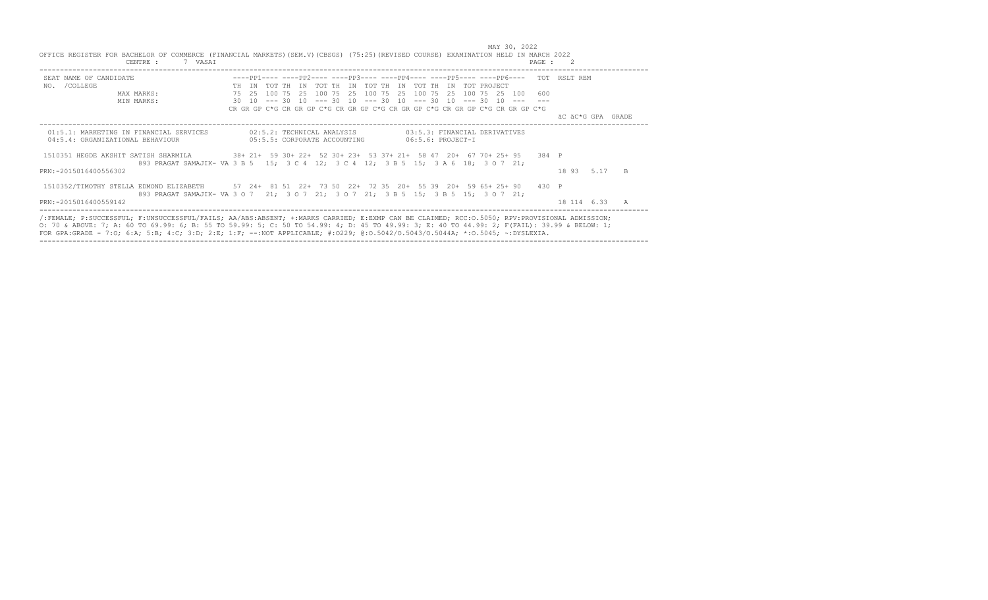| OFFICE REGISTER FOR BACHELOR OF COMMERCE (FINANCIAL MARKETS)(SEM.V)(CBSGS) (75:25)(REVISED COURSE) EXAMINATION HELD IN MARCH 2022                                                                                                                                                          | 7 VASAI<br>CENTRE :                                                                |                                                                               |  |  |  |                                                                                  |  |                                                       |  |  |               | PAGE : 2                                                                             |  |                   |              |
|--------------------------------------------------------------------------------------------------------------------------------------------------------------------------------------------------------------------------------------------------------------------------------------------|------------------------------------------------------------------------------------|-------------------------------------------------------------------------------|--|--|--|----------------------------------------------------------------------------------|--|-------------------------------------------------------|--|--|---------------|--------------------------------------------------------------------------------------|--|-------------------|--------------|
| SEAT NAME OF CANDIDATE                                                                                                                                                                                                                                                                     |                                                                                    |                                                                               |  |  |  |                                                                                  |  |                                                       |  |  |               | ----PP1---- ----PP2---- ----PP3---- ----PP4---- ----PP5---- ----PP6---- TOT RSLT REM |  |                   |              |
| NO. / COLLEGE                                                                                                                                                                                                                                                                              |                                                                                    |                                                                               |  |  |  | TH IN TOT TH IN TOT TH IN TOT TH IN TOT TH IN TOT PROJECT                        |  |                                                       |  |  |               |                                                                                      |  |                   |              |
|                                                                                                                                                                                                                                                                                            | MAX MARKS:                                                                         |                                                                               |  |  |  | 75 25 100 75 25 100 75 25 100 75 25 100 75 25                                    |  |                                                       |  |  | 100 75 25 100 | 600                                                                                  |  |                   |              |
|                                                                                                                                                                                                                                                                                            | MIN MARKS:                                                                         |                                                                               |  |  |  | $30$ $10$ $-- 30$ $10$ $-- 30$ $10$ $-- 30$ $10$ $-- 30$ $10$ $-- 30$ $10$ $---$ |  |                                                       |  |  |               |                                                                                      |  |                   |              |
|                                                                                                                                                                                                                                                                                            |                                                                                    | CR GR GP C*G CR GR GP C*G CR GR GP C*G CR GR GP C*G CR GR GP C*G CR GR GP C*G |  |  |  |                                                                                  |  |                                                       |  |  |               |                                                                                      |  |                   |              |
|                                                                                                                                                                                                                                                                                            |                                                                                    |                                                                               |  |  |  |                                                                                  |  |                                                       |  |  |               |                                                                                      |  | äC äC*G GPA GRADE |              |
| 01:5.1: MARKETING IN FINANCIAL SERVICES<br>04:5.4: ORGANIZATIONAL BEHAVIOUR                                                                                                                                                                                                                |                                                                                    |                                                                               |  |  |  | 02:5.2: TECHNICAL ANALYSIS<br>05:5.5: CORPORATE ACCOUNTING                       |  | 03:5.3: FINANCIAL DERIVATIVES<br>$06:5.6$ : PROJECT-I |  |  |               |                                                                                      |  |                   |              |
| 1510351 HEGDE AKSHIT SATISH SHARMILA                                                                                                                                                                                                                                                       | 38+ 21+ 59 30+ 22+ 52 30+ 23+ 53 37+ 21+ 58 47 20+ 67 70+ 25+ 95                   |                                                                               |  |  |  |                                                                                  |  |                                                       |  |  |               | 384 P                                                                                |  |                   |              |
|                                                                                                                                                                                                                                                                                            | 893 PRAGAT SAMAJIK- VA 3 B 5 15; 3 C 4 12; 3 C 4 12; 3 B 5 15; 3 A 6 18; 3 O 7 21; |                                                                               |  |  |  |                                                                                  |  |                                                       |  |  |               |                                                                                      |  |                   |              |
| PRN: -2015016400556302                                                                                                                                                                                                                                                                     |                                                                                    |                                                                               |  |  |  |                                                                                  |  |                                                       |  |  |               |                                                                                      |  | 18 93 5.17        | <sub>B</sub> |
| 1510352/TIMOTHY STELLA EDMOND ELIZABETH 57 24+ 81 51 22+ 73 50 22+ 72 35 20+ 55 39 20+ 59 65+ 25+ 90                                                                                                                                                                                       |                                                                                    |                                                                               |  |  |  |                                                                                  |  |                                                       |  |  |               | 430 P                                                                                |  |                   |              |
|                                                                                                                                                                                                                                                                                            | 893 PRAGAT SAMAJIK-VA 3 0 7 21; 3 0 7 21; 3 0 7 21; 3 B 5 15; 3 B 5 15; 3 0 7 21;  |                                                                               |  |  |  |                                                                                  |  |                                                       |  |  |               |                                                                                      |  |                   |              |
| PRN: - 2015016400559142                                                                                                                                                                                                                                                                    |                                                                                    |                                                                               |  |  |  |                                                                                  |  |                                                       |  |  |               |                                                                                      |  | 18 114 6.33       | A            |
| /:FEMALE; P:SUCCESSFUL; F:UNSUCCESSFUL/FAILS; AA/ABS:ABSENT; +:MARKS CARRIED; E:EXMP CAN BE CLAIMED; RCC:0.5050; RPV:PROVISIONAL ADMISSION;<br>0. 70 & AROVE, 7, A, 60 TO 69 99, 6, B, 55 TO 59 99, 5, C, 50 TO 54 99, 4, D, 45 TO 49 99, 3, E, 40 TO 44 99, 2, F(FATI), 39 99 & REIOW, 1, |                                                                                    |                                                                               |  |  |  |                                                                                  |  |                                                       |  |  |               |                                                                                      |  |                   |              |

MAY 30, 2022

0: 70 & ABOVE: 7; A: 60 TO 69.99: 6; B: 55 TO 59.99: 5; C: 50 TO 54.99: 4; D: 45 TO 49.99: 3; E: 40 TO 44.99: 2; F(FAIL): 39.99 & BELOW: 1;<br>FOR GPA:GRADE - 7:0; 6:A; 5:B; 4:C; 3:D; 2:E; 1:F; --:NOT APPLICABLE; #:O229; @:O.

----------------------------------------------------------------------------------------------------------------------------------------------------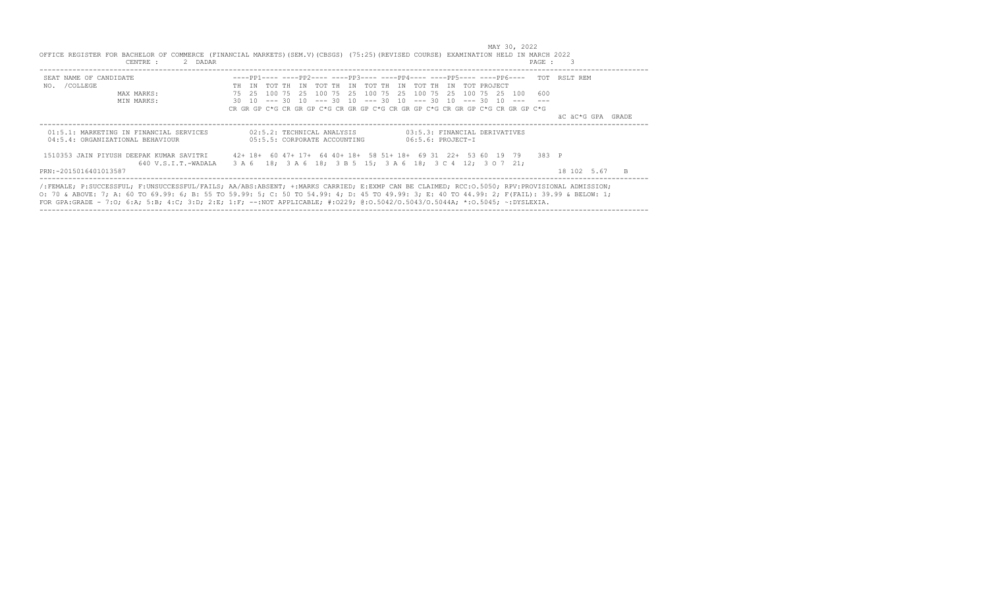| SEAT NAME OF CANDIDATE                                                      | ----pp1---- ----pp2---- ----pp3---- ----pp4---- ----pp5---- ----pp6---- TOT RSLT REM                                                           |                   |
|-----------------------------------------------------------------------------|------------------------------------------------------------------------------------------------------------------------------------------------|-------------------|
| NO. / COLLEGE                                                               | TH IN TOT TH IN TOT TH IN TOT TH IN TOT TH IN<br>TOT PROJECT                                                                                   |                   |
| MAX MARKS:                                                                  | 75   25   100   75   25   100   75   25   100   75   25   100   75   25<br>100 75 25<br>600<br>100                                             |                   |
| MIN MARKS:                                                                  | $30$ 10 --- 30 10 --- 30 10 --- 30 10 --- 30 10 --- 30 10 ---<br>CR GR GP C*G CR GR GP C*G CR GR GP C*G CR GR GP C*G CR GR GP C*G CR GR GP C*G |                   |
|                                                                             |                                                                                                                                                | äC äC*G GPA GRADE |
| 01:5.1: MARKETING IN FINANCIAL SERVICES<br>04:5.4: ORGANIZATIONAL BEHAVIOUR | 02:5.2: TECHNICAL ANALYSIS<br>03:5.3: FINANCIAL DERIVATIVES<br>05:5.5: CORPORATE ACCOUNTING<br>$06:5.6: PROJECT-T$                             |                   |
| 1510353 JAIN PIYUSH DEEPAK KUMAR SAVITRI<br>640 V.S.I.T.-WADALA             | 42+ 18+ 60 47+ 17+ 64 40+ 18+ 58 51+ 18+ 69 31 22+ 53 60 19 79<br>3 A 6 18: 3 A 6 18: 3 B 5 15: 3 A 6 18: 3 C 4 12: 3 O 7 21:                  | 383 P             |
| PRN: -2015016401013587                                                      |                                                                                                                                                | 18 102 5.67<br>B. |

----------------------------------------------------------------------------------------------------------------------------------------------------

MAY 30, 2022